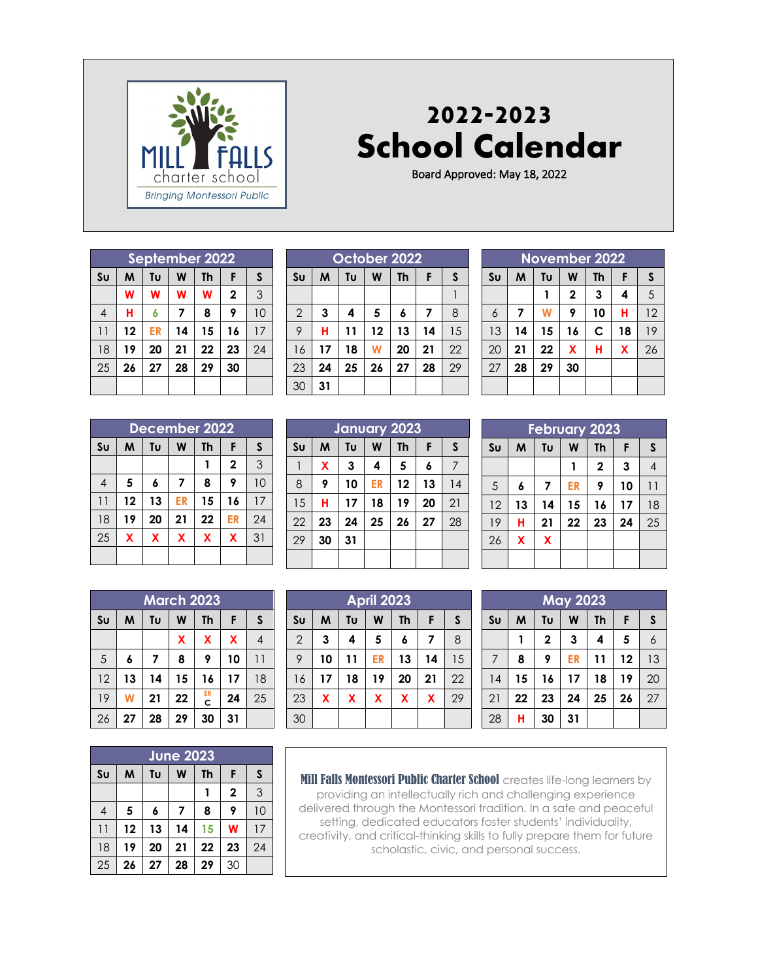

## **2022-2023 School Calendar**

Board Approved: May 18, 2022

| September 2022  |    |                                           |    |    |             |    |  |  |  |
|-----------------|----|-------------------------------------------|----|----|-------------|----|--|--|--|
| S <sub>U</sub>  | M  | W<br>Tυ<br>$\mathsf{s}$<br><b>Th</b><br>F |    |    |             |    |  |  |  |
|                 | W  | W                                         | W  | W  | $\mathbf 2$ | 3  |  |  |  |
| $\overline{4}$  | н  | 6                                         | 7  | 8  | 9           | 10 |  |  |  |
| $\overline{11}$ | 12 | ER                                        | 14 | 15 | 16          | 17 |  |  |  |
| 18              | 19 | 20                                        | 21 | 22 | 23          | 24 |  |  |  |
| 25              | 26 | 27                                        | 28 | 29 | 30          |    |  |  |  |
|                 |    |                                           |    |    |             |    |  |  |  |

|                | October 2022 |    |    |           |    |    |  |  |  |  |
|----------------|--------------|----|----|-----------|----|----|--|--|--|--|
| S <sub>U</sub> | M            | Tυ | W  | <b>Th</b> | F  | S  |  |  |  |  |
|                |              |    |    |           |    |    |  |  |  |  |
| $\overline{2}$ | 3            | 4  | 5  | 6         | 7  | 8  |  |  |  |  |
| 9              | н            | 11 | 12 | 13        | 14 | 15 |  |  |  |  |
| 16             | 17           | 18 | W  | 20        | 21 | 22 |  |  |  |  |
| 23             | 24           | 25 | 26 | 27        | 28 | 29 |  |  |  |  |
| 30             | 31           |    |    |           |    |    |  |  |  |  |

| December 2022   |                                                |    |    |                         |             |    |  |  |
|-----------------|------------------------------------------------|----|----|-------------------------|-------------|----|--|--|
| S <sub>U</sub>  | W<br>Tυ<br>F<br><b>Th</b><br>$\mathsf{s}$<br>M |    |    |                         |             |    |  |  |
|                 |                                                |    |    |                         | $\mathbf 2$ | 3  |  |  |
| $\overline{4}$  | 5                                              | 6  | 7  | 8                       | 9           | 10 |  |  |
| $\overline{11}$ | 12                                             | 13 | ER | 15                      | 16          | 17 |  |  |
| 18              | 19                                             | 20 | 21 | 22                      | <b>ER</b>   | 24 |  |  |
| 25              | X                                              | X  | X  | $\overline{\mathbf{X}}$ | X           | 31 |  |  |
|                 |                                                |    |    |                         |             |    |  |  |

|                | <b>March 2023</b> |    |    |         |    |              |  |  |  |  |
|----------------|-------------------|----|----|---------|----|--------------|--|--|--|--|
| S <sub>U</sub> | M                 | Tυ | W  | Th      | F  | $\mathsf{s}$ |  |  |  |  |
|                |                   |    | X  | X       | X  |              |  |  |  |  |
| 5              | 6                 | 7  | 8  | 9       | 10 | 11           |  |  |  |  |
| 12             | 13                | 14 | 15 | 16      | 17 | 18           |  |  |  |  |
| 19             | W                 | 21 | 22 | ER<br>C | 24 | 25           |  |  |  |  |
| 26             | 27                | 28 | 29 | 30      | 31 |              |  |  |  |  |

|                | <b>June 2023</b> |    |    |    |              |              |  |  |  |
|----------------|------------------|----|----|----|--------------|--------------|--|--|--|
| S <sub>U</sub> | M                | Tυ | W  | Th | F            | $\mathsf{s}$ |  |  |  |
|                |                  |    |    |    | $\mathbf{2}$ | 3            |  |  |  |
| 4              | 5                | 6  | 7  | 8  | 9            | 10           |  |  |  |
| 11             | 12               | 13 | 14 | 15 | W            | 17           |  |  |  |
| 18             | 19               | 20 | 21 | 22 | 23           | 24           |  |  |  |
| 25             | 26               | 27 | 28 | 29 | 30           |              |  |  |  |

|                | January 2023 |    |    |    |    |    |              |  |  |  |
|----------------|--------------|----|----|----|----|----|--------------|--|--|--|
| S <sub>U</sub> |              | M  | Tυ | W  | Th | F  | $\mathsf{s}$ |  |  |  |
|                |              | X  | 3  | 4  | 5  | 6  |              |  |  |  |
| 8              |              | 9  | 10 | ER | 12 | 13 | 14           |  |  |  |
|                | 15           | н  | 17 | 18 | 19 | 20 | 21           |  |  |  |
| 22             |              | 23 | 24 | 25 | 26 | 27 | 28           |  |  |  |
| 29             |              | 30 | 31 |    |    |    |              |  |  |  |
|                |              |    |    |    |    |    |              |  |  |  |

|                | <b>April 2023</b>            |    |    |                         |    |    |  |  |  |
|----------------|------------------------------|----|----|-------------------------|----|----|--|--|--|
| S <sub>U</sub> | S<br>Tu<br>W<br>M<br>Th<br>F |    |    |                         |    |    |  |  |  |
| $\overline{2}$ | 3                            | 4  | 5  | 6                       | 7  | 8  |  |  |  |
| 9              | 10                           | 11 | ER | 13                      | 14 | 15 |  |  |  |
| 16             | 17                           | 18 | 19 | 20                      | 21 | 22 |  |  |  |
| 23             | X                            | X  | X  | $\overline{\mathbf{X}}$ | X  | 29 |  |  |  |
| 30             |                              |    |    |                         |    |    |  |  |  |

| <b>November 2022</b> |    |                           |                         |              |    |    |  |  |  |
|----------------------|----|---------------------------|-------------------------|--------------|----|----|--|--|--|
| S <sub>U</sub>       | M  | W<br>F<br>Tυ<br><b>Th</b> |                         |              |    |    |  |  |  |
|                      |    |                           | 2                       | 3            | 4  | 5  |  |  |  |
| $\overline{6}$       | 7  | W                         | 9                       | 10           | н  | 12 |  |  |  |
| 13                   | 14 | 15                        | 16                      | $\mathsf{C}$ | 18 | 19 |  |  |  |
| 20                   | 21 | 22                        | $\overline{\mathbf{X}}$ | н            | X  | 26 |  |  |  |
| 27                   | 28 | 29                        | 30                      |              |    |    |  |  |  |
|                      |    |                           |                         |              |    |    |  |  |  |

| <b>February 2023</b> |    |    |    |             |    |                |  |  |  |
|----------------------|----|----|----|-------------|----|----------------|--|--|--|
| S <sub>U</sub>       | M  | Tυ | W  | <b>Th</b>   | F  | S              |  |  |  |
|                      |    |    |    | $\mathbf 2$ | 3  | $\overline{4}$ |  |  |  |
| 5                    | 6  | 7  | ER | 9           | 10 | 11             |  |  |  |
| 12                   | 13 | 14 | 15 | 16          | 17 | 18             |  |  |  |
| 19                   | н  | 21 | 22 | 23          | 24 | 25             |  |  |  |
| 26                   | X  | X  |    |             |    |                |  |  |  |
|                      |    |    |    |             |    |                |  |  |  |

| <b>May 2023</b> |    |                           |    |    |    |    |  |  |  |
|-----------------|----|---------------------------|----|----|----|----|--|--|--|
| Su              | M  | Tυ<br>W<br>F<br><b>Th</b> |    |    |    |    |  |  |  |
|                 |    | $\overline{\mathbf{c}}$   | 3  | 4  | 5  | 6  |  |  |  |
| 7               | 8  | 9                         | ER | 11 | 12 | 13 |  |  |  |
| 14              | 15 | 16                        | 17 | 18 | 19 | 20 |  |  |  |
| 21              | 22 | 23                        | 24 | 25 | 26 | 27 |  |  |  |
| 28              | н  | 30                        | 31 |    |    |    |  |  |  |

Mill Falls Montessori Public Charter School creates life-long learners by providing an intellectually rich and challenging experience delivered through the Montessori tradition. In a safe and peaceful setting, dedicated educators foster students' individuality, creativity, and critical-thinking skills to fully prepare them for future scholastic, civic, and personal success.